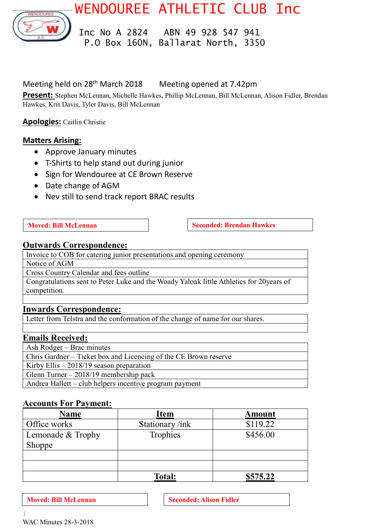WENDOUREE ATHLETIC CLUB Inc



 Inc No A 2824 ABN 49 928 547 941 P.O Box 160N, Ballarat North, 3350

# Meeting held on 28<sup>th</sup> March 2018 Meeting opened at 7.42pm

**Present:** Stephen McLennan, Michelle Hawkes, Phillip McLennan, Bill McLennan, Alison Fidler, Brendan Hawkes, Kris Davis, Tyler Davis, Bill McLennan

**Apologies:** Caitlin Christie

# **Matters Arising:**

- Approve January minutes
- T-Shirts to help stand out during junior
- Sign for Wendouree at CE Brown Reserve
- Date change of AGM
- Nev still to send track report BRAC results

**Moved:** Bill McLennan **Seconded:** Brendan Hawkes

# **Outwards Correspondence:**

Invoice to COB for catering junior presentations and opening ceremony

Notice of AGM

Cross Country Calendar and fees outline

Congratulations sent to Peter Luke and the Woady Yaloak little Athletics for 20years of competition.

# **Inwards Correspondence:**

Letter from Telstra and the conformation of the change of name for our shares.

# **Emails Received:**

Ash Rodger – Brac minutes

Chris Gardner – Ticket box and Licencing of the CE Brown reserve

Kirby Ellis – 2018/19 season preparation

Glenn Turner – 2018/19 membership pack

Andrea Hallett – club helpers incentive program payment

# **Accounts For Payment:**

| <b>Name</b>       | <b>Item</b>     | <b>Amount</b> |
|-------------------|-----------------|---------------|
| Office works      | Stationary /ink | \$119.22      |
| Lemonade & Trophy | Trophies        | \$456.00      |
| Shoppe            |                 |               |
|                   |                 |               |
|                   |                 |               |
|                   | <b>Total:</b>   | \$575.22      |

**Moved: Bill McLennan Seconded: Alison Fidler**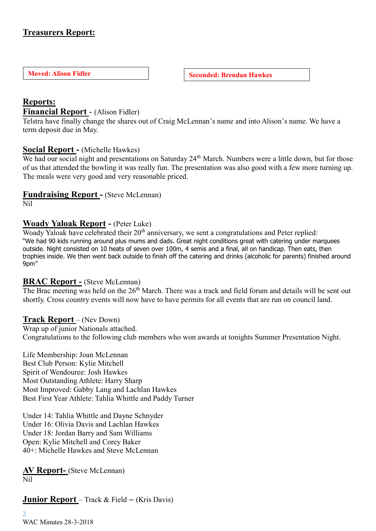# **Treasurers Report:**

**Moved: Alison Fidler Seconded: Brendan Hawkes** 

# **Reports:**

#### **Financial Report** - (Alison Fidler)

Telstra have finally change the shares out of Craig McLennan's name and into Alison's name. We have a term deposit due in May.

### **Social Report -** (Michelle Hawkes)

We had our social night and presentations on Saturday 24<sup>th</sup> March. Numbers were a little down, but for those of us that attended the bowling it was really fun. The presentation was also good with a few more turning up. The meals were very good and very reasonable priced.

#### **Fundraising Report -** (Steve McLennan)

Nil

### **Woady Yaloak Report -** (Peter Luke)

Woady Yaloak have celebrated their 20<sup>th</sup> anniversary, we sent a congratulations and Peter replied: "We had 90 kids running around plus mums and dads. Great night conditions great with catering under marquees outside. Night consisted on 10 heats of seven over 100m, 4 semis and a final, all on handicap. Then eats, then trophies inside. We then went back outside to finish off the catering and drinks (alcoholic for parents) finished around 9pm"

### **BRAC Report -** (Steve McLennan)

The Brac meeting was held on the 26<sup>th</sup> March. There was a track and field forum and details will be sent out shortly. Cross country events will now have to have permits for all events that are run on council land.

#### **Track Report** – (Nev Down)

Wrap up of junior Nationals attached. Congratulations to the following club members who won awards at tonights Summer Presentation Night.

Life Membership: Joan McLennan Best Club Person: Kylie Mitchell Spirit of Wendouree: Josh Hawkes Most Outstanding Athlete: Harry Sharp Most Improved: Gabby Lang and Lachlan Hawkes Best First Year Athlete: Tahlia Whittle and Paddy Turner

Under 14: Tahlia Whittle and Dayne Schnyder Under 16: Olivia Davis and Lachlan Hawkes Under 18: Jordan Barry and Sam Williams Open: Kylie Mitchell and Corey Baker 40+: Michelle Hawkes and Steve McLennan

**AV Report-** (Steve McLennan) Nil

### **Junior Report** – Track & Field **–** (Kris Davis)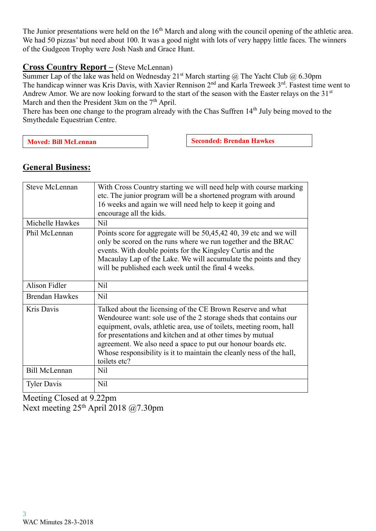The Junior presentations were held on the  $16<sup>th</sup>$  March and along with the council opening of the athletic area. We had 50 pizzas' but need about 100. It was a good night with lots of very happy little faces. The winners of the Gudgeon Trophy were Josh Nash and Grace Hunt.

# **Cross Co**u**ntry Report –** (Steve McLennan)

Summer Lap of the lake was held on Wednesday 21<sup>st</sup> March starting @ The Yacht Club @ 6.30pm The handicap winner was Kris Davis, with Xavier Rennison 2<sup>nd</sup> and Karla Treweek 3<sup>rd</sup>. Fastest time went to Andrew Amor. We are now looking forward to the start of the season with the Easter relays on the 31<sup>st</sup> March and then the President 3km on the  $7<sup>th</sup>$  April.

There has been one change to the program already with the Chas Suffren 14<sup>th</sup> July being moved to the Smythedale Equestrian Centre.

**Seconded: Brendan Hawkes** 

| <b>Steve McLennan</b> | With Cross Country starting we will need help with course marking<br>etc. The junior program will be a shortened program with around<br>16 weeks and again we will need help to keep it going and<br>encourage all the kids.                                                                                                                                                                                                   |
|-----------------------|--------------------------------------------------------------------------------------------------------------------------------------------------------------------------------------------------------------------------------------------------------------------------------------------------------------------------------------------------------------------------------------------------------------------------------|
| Michelle Hawkes       | Nil                                                                                                                                                                                                                                                                                                                                                                                                                            |
| Phil McLennan         | Points score for aggregate will be 50,45,42 40, 39 etc and we will<br>only be scored on the runs where we run together and the BRAC<br>events. With double points for the Kingsley Curtis and the<br>Macaulay Lap of the Lake. We will accumulate the points and they<br>will be published each week until the final 4 weeks.                                                                                                  |
| <b>Alison Fidler</b>  | Nil                                                                                                                                                                                                                                                                                                                                                                                                                            |
| <b>Brendan Hawkes</b> | Nil                                                                                                                                                                                                                                                                                                                                                                                                                            |
| Kris Davis            | Talked about the licensing of the CE Brown Reserve and what<br>Wendouree want: sole use of the 2 storage sheds that contains our<br>equipment, ovals, athletic area, use of toilets, meeting room, hall<br>for presentations and kitchen and at other times by mutual<br>agreement. We also need a space to put our honour boards etc.<br>Whose responsibility is it to maintain the cleanly ness of the hall,<br>toilets etc? |
| <b>Bill McLennan</b>  | Nil                                                                                                                                                                                                                                                                                                                                                                                                                            |
| <b>Tyler Davis</b>    | Nil                                                                                                                                                                                                                                                                                                                                                                                                                            |

**General Business:**

Meeting Closed at 9.22pm Next meeting 25<sup>th</sup> April 2018 @7.30pm